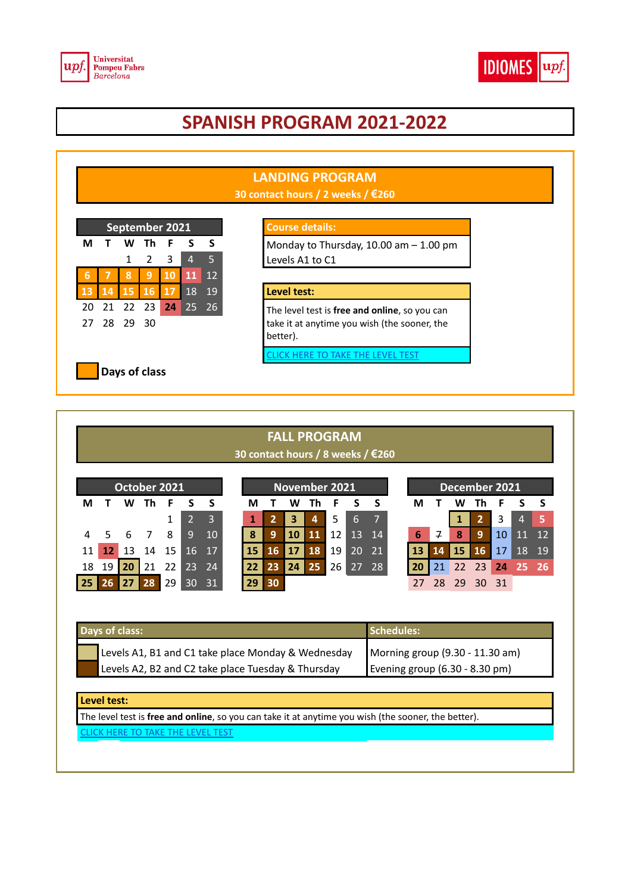



# **SPANISH PROGRAM 2021-2022**



## **FALL PROGRAM 30 contact hours / 8 weeks / €260**

|    |    |    | October 2021 |    |          |                |    |    |    | November 2021 |    |    |    | December 2021 |    |    |     |     |    |       |
|----|----|----|--------------|----|----------|----------------|----|----|----|---------------|----|----|----|---------------|----|----|-----|-----|----|-------|
| М  |    | w  | Th           | F  |          | S              | М  |    | w  | Th            | F  |    | .S | М             |    | W  | Τh  |     |    | - S   |
|    |    |    |              |    |          | $\overline{3}$ | 1  |    | 3  | 4             | 5  | 6  |    |               |    |    |     | 3   | 4  |       |
| 4  | 5. | -6 |              | 8  | <u>g</u> | <b>10</b>      | 8  | 9  | 10 | 11            |    | 13 | 14 | 6             | 7  | 8  | 9   | 10  |    | $12-$ |
| 11 |    | 13 | 14           | 15 | 16       | 17             | 15 | 16 | 17 | 18            | 19 | 20 | 21 | 13            | 14 | 15 | 16  | 17  | 18 | 19    |
| 18 | 19 |    |              | 22 | 23       | 24.            | 22 | 23 | 24 | 25            | 26 | 27 | 28 | 20            |    | 22 | 23  | 24  |    | 26    |
| 25 | 'n |    |              | 29 | 30       | 31             | 29 | 30 |    |               |    |    |    |               | 28 | 29 | 30. | -31 |    |       |

| Days of class:                                     | Schedules:                        |
|----------------------------------------------------|-----------------------------------|
| Levels A1, B1 and C1 take place Monday & Wednesday | Morning group (9.30 - 11.30 am)   |
| Levels A2, B2 and C2 take place Tuesday & Thursday | Evening group $(6.30 - 8.30)$ pm) |

### **Level test:**

The level test is **free and online**, so you can take it at anytime you wish (the sooner, the better).

[CLICK HERE TO TAKE THE LEVEL TEST](http://pruebadenivel.cervantes.es/exam.php?id=17)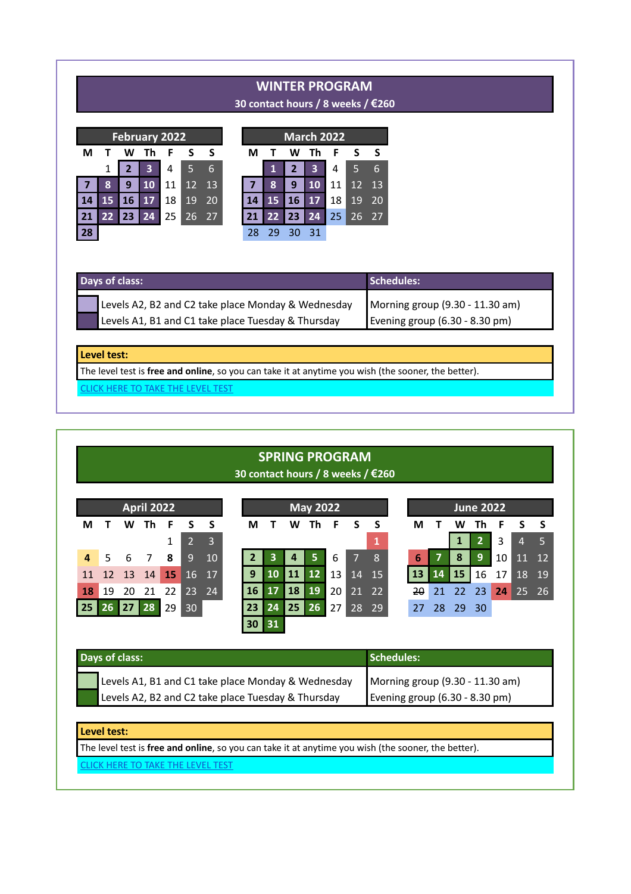# **WINTER PROGRAM**

**30 contact hours / 8 weeks / €260**

|     |    |    | <b>February 2022</b> |    |    |     |    |    |    | <b>March 2022</b> |    |
|-----|----|----|----------------------|----|----|-----|----|----|----|-------------------|----|
| м   |    | W  | Th                   | F  | S  | - S | м  |    | W  |                   | F  |
|     | 1  |    | 3                    | 4  | 5  | 6   |    | 1  | 2  | 3                 |    |
|     | 8  | 9  | 10                   | 11 | 12 | 13  |    | 8  | 9  | 10                | 11 |
| 14  | 15 | 16 | 17                   | 18 | 19 | 20  |    | 15 | 16 | 17                | 18 |
| 21  | 22 | 23 | 24                   | 25 | 26 | 27  | 21 | 22 | 23 | 24                | 25 |
| -28 |    |    |                      |    |    |     | 28 | 29 | 30 | 31                |    |

|               |    |    | <b>February 2022</b> |    |    |     |    |                 |              | <b>March 2022</b> |                 |                 |     |
|---------------|----|----|----------------------|----|----|-----|----|-----------------|--------------|-------------------|-----------------|-----------------|-----|
| М             |    | W  | Th                   | F  |    | - S | М  |                 | W            | Th                |                 |                 | - S |
|               | 1  | 2  | $\mathbf{3}$         | 4  |    | 6   |    |                 | $\mathbf{2}$ | 3                 | 4               | 5               | 6   |
| $\mathcal{T}$ | 8  | 9  | 10                   | 11 | 12 | 13  |    | 8               | 9            | <b>10</b>         | 11              | 12 <sup>7</sup> | 13  |
| 14            | 15 | 16 | <b>17</b>            | 18 | 19 | 20  | 14 | 15              | 16           | 17                | 18              | 19              | 20  |
| 21            | 22 | 23 | 24                   | 25 | 26 | 27  | 21 | 22 <sub>1</sub> | 23           | 24                | 25 <sub>1</sub> | 26 <sup>7</sup> | 27  |
| 28            |    |    |                      |    |    |     | 28 | 29              | 30           | -31               |                 |                 |     |

## **Days of class: Schedules: Schedules: Schedules: Schedules: Schedules: Schedules: Schedules: Schedules: Schedules: Schedules: Schedules: Schedules: Schedules: Schedules: Schedules: Schedules**

| Levels A2, B2 and C2 take place Monday & Wednesday | Morning group (9.30 - 11.30 am)          |
|----------------------------------------------------|------------------------------------------|
| Levels A1, B1 and C1 take place Tuesday & Thursday | Evening group $(6.30 - 8.30 \text{ pm})$ |

#### **Level test:**

The level test is **free and online**, so you can take it at anytime you wish (the sooner, the better).

[CLICK HERE TO TAKE THE LEVEL TEST](http://pruebadenivel.cervantes.es/exam.php?id=17)

# **SPRING PROGRAM 30 contact hours / 8 weeks / €260**

|           |    |    | <b>April 2022</b> |    |                |                |    |    |    | <b>May 2022</b> |    |    |       | <b>June 2022</b> |    |     |              |    |    |           |
|-----------|----|----|-------------------|----|----------------|----------------|----|----|----|-----------------|----|----|-------|------------------|----|-----|--------------|----|----|-----------|
| м         |    | w  | Τh                | F  | S              | <b>S</b>       | М  |    | W  | Th              | F  | S. | s s   | М                |    | w   | Th           | F  | S  | - S       |
|           |    |    |                   |    | $\overline{2}$ | $\overline{3}$ |    |    |    |                 |    |    | 1     |                  |    |     | $\mathbf{2}$ | 3  | 4  | -5        |
|           | 5  | 6  | 7                 | 8  | 9              | <b>10</b>      |    | 3  | 4  | 5               | 6  | 7  | 8     | 6                |    | 8   | 9            | 10 | 11 | <b>12</b> |
| 11        | 12 | 13 | 14                | 15 | 16 17          |                | 9  | 10 | 11 | 12              | 13 |    | 14 15 | 13               | 14 | 15  | 16           | 17 | 18 | 19        |
| <b>18</b> | 19 | 20 | 21                | 22 |                | $ 23 \t24 \t $ | 16 | 17 | 18 | 19              | 20 |    | 21 22 | $2\theta$        | 21 | 22  | -23          | 24 |    | 25 26     |
| 25        | 26 | 27 | ▌28               | 29 | 30             |                | 23 | 24 | 25 | 26              | 27 | 28 | 29    | 27               | 28 | -29 | -30          |    |    |           |
|           |    |    |                   |    |                |                | 30 | 31 |    |                 |    |    |       |                  |    |     |              |    |    |           |
|           |    |    |                   |    |                |                |    |    |    |                 |    |    |       |                  |    |     |              |    |    |           |

| Days of class:                                     | Schedules:                      |
|----------------------------------------------------|---------------------------------|
| Levels A1, B1 and C1 take place Monday & Wednesday | Morning group (9.30 - 11.30 am) |
| Levels A2, B2 and C2 take place Tuesday & Thursday | Evening group (6.30 - 8.30 pm)  |

#### **Level test:**

The level test is **free and online**, so you can take it at anytime you wish (the sooner, the better).

[CLICK HERE TO TAKE THE LEVEL TEST](http://pruebadenivel.cervantes.es/exam.php?id=17)